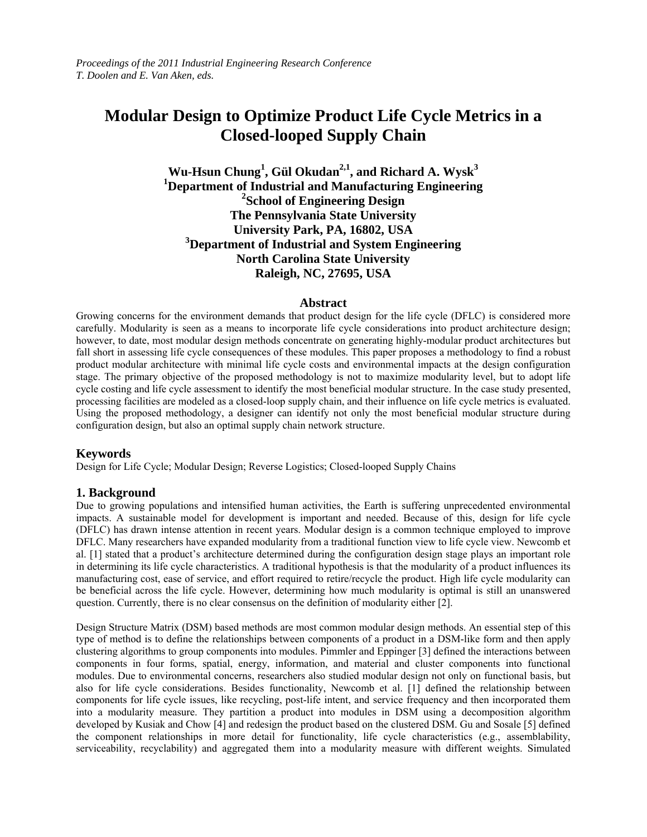# **Modular Design to Optimize Product Life Cycle Metrics in a Closed-looped Supply Chain**

# $W$ u-Hsun Chung<sup>1</sup>, Gül Okudan<sup>2,1</sup>, and Richard A. Wysk<sup>3</sup> **1 Department of Industrial and Manufacturing Engineering 2 School of Engineering Design The Pennsylvania State University University Park, PA, 16802, USA 3 Department of Industrial and System Engineering North Carolina State University Raleigh, NC, 27695, USA**

# **Abstract**

Growing concerns for the environment demands that product design for the life cycle (DFLC) is considered more carefully. Modularity is seen as a means to incorporate life cycle considerations into product architecture design; however, to date, most modular design methods concentrate on generating highly-modular product architectures but fall short in assessing life cycle consequences of these modules. This paper proposes a methodology to find a robust product modular architecture with minimal life cycle costs and environmental impacts at the design configuration stage. The primary objective of the proposed methodology is not to maximize modularity level, but to adopt life cycle costing and life cycle assessment to identify the most beneficial modular structure. In the case study presented, processing facilities are modeled as a closed-loop supply chain, and their influence on life cycle metrics is evaluated. Using the proposed methodology, a designer can identify not only the most beneficial modular structure during configuration design, but also an optimal supply chain network structure.

# **Keywords**

Design for Life Cycle; Modular Design; Reverse Logistics; Closed-looped Supply Chains

# **1. Background**

Due to growing populations and intensified human activities, the Earth is suffering unprecedented environmental impacts. A sustainable model for development is important and needed. Because of this, design for life cycle (DFLC) has drawn intense attention in recent years. Modular design is a common technique employed to improve DFLC. Many researchers have expanded modularity from a traditional function view to life cycle view. Newcomb et al. [1] stated that a product's architecture determined during the configuration design stage plays an important role in determining its life cycle characteristics. A traditional hypothesis is that the modularity of a product influences its manufacturing cost, ease of service, and effort required to retire/recycle the product. High life cycle modularity can be beneficial across the life cycle. However, determining how much modularity is optimal is still an unanswered question. Currently, there is no clear consensus on the definition of modularity either [2].

Design Structure Matrix (DSM) based methods are most common modular design methods. An essential step of this type of method is to define the relationships between components of a product in a DSM-like form and then apply clustering algorithms to group components into modules. Pimmler and Eppinger [3] defined the interactions between components in four forms, spatial, energy, information, and material and cluster components into functional modules. Due to environmental concerns, researchers also studied modular design not only on functional basis, but also for life cycle considerations. Besides functionality, Newcomb et al. [1] defined the relationship between components for life cycle issues, like recycling, post-life intent, and service frequency and then incorporated them into a modularity measure. They partition a product into modules in DSM using a decomposition algorithm developed by Kusiak and Chow [4] and redesign the product based on the clustered DSM. Gu and Sosale [5] defined the component relationships in more detail for functionality, life cycle characteristics (e.g., assemblability, serviceability, recyclability) and aggregated them into a modularity measure with different weights. Simulated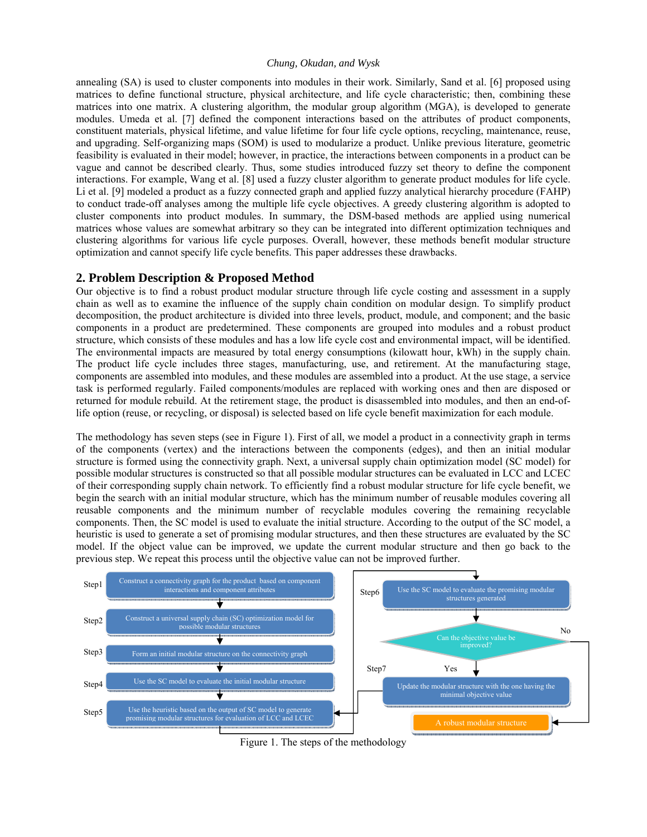annealing (SA) is used to cluster components into modules in their work. Similarly, Sand et al. [6] proposed using matrices to define functional structure, physical architecture, and life cycle characteristic; then, combining these matrices into one matrix. A clustering algorithm, the modular group algorithm (MGA), is developed to generate modules. Umeda et al. [7] defined the component interactions based on the attributes of product components, constituent materials, physical lifetime, and value lifetime for four life cycle options, recycling, maintenance, reuse, and upgrading. Self-organizing maps (SOM) is used to modularize a product. Unlike previous literature, geometric feasibility is evaluated in their model; however, in practice, the interactions between components in a product can be vague and cannot be described clearly. Thus, some studies introduced fuzzy set theory to define the component interactions. For example, Wang et al. [8] used a fuzzy cluster algorithm to generate product modules for life cycle. Li et al. [9] modeled a product as a fuzzy connected graph and applied fuzzy analytical hierarchy procedure (FAHP) to conduct trade-off analyses among the multiple life cycle objectives. A greedy clustering algorithm is adopted to cluster components into product modules. In summary, the DSM-based methods are applied using numerical matrices whose values are somewhat arbitrary so they can be integrated into different optimization techniques and clustering algorithms for various life cycle purposes. Overall, however, these methods benefit modular structure optimization and cannot specify life cycle benefits. This paper addresses these drawbacks.

# **2. Problem Description & Proposed Method**

Our objective is to find a robust product modular structure through life cycle costing and assessment in a supply chain as well as to examine the influence of the supply chain condition on modular design. To simplify product decomposition, the product architecture is divided into three levels, product, module, and component; and the basic components in a product are predetermined. These components are grouped into modules and a robust product structure, which consists of these modules and has a low life cycle cost and environmental impact, will be identified. The environmental impacts are measured by total energy consumptions (kilowatt hour, kWh) in the supply chain. The product life cycle includes three stages, manufacturing, use, and retirement. At the manufacturing stage, components are assembled into modules, and these modules are assembled into a product. At the use stage, a service task is performed regularly. Failed components/modules are replaced with working ones and then are disposed or returned for module rebuild. At the retirement stage, the product is disassembled into modules, and then an end-oflife option (reuse, or recycling, or disposal) is selected based on life cycle benefit maximization for each module.

The methodology has seven steps (see in Figure 1). First of all, we model a product in a connectivity graph in terms of the components (vertex) and the interactions between the components (edges), and then an initial modular structure is formed using the connectivity graph. Next, a universal supply chain optimization model (SC model) for possible modular structures is constructed so that all possible modular structures can be evaluated in LCC and LCEC of their corresponding supply chain network. To efficiently find a robust modular structure for life cycle benefit, we begin the search with an initial modular structure, which has the minimum number of reusable modules covering all reusable components and the minimum number of recyclable modules covering the remaining recyclable components. Then, the SC model is used to evaluate the initial structure. According to the output of the SC model, a heuristic is used to generate a set of promising modular structures, and then these structures are evaluated by the SC model. If the object value can be improved, we update the current modular structure and then go back to the previous step. We repeat this process until the objective value can not be improved further.



Figure 1. The steps of the methodology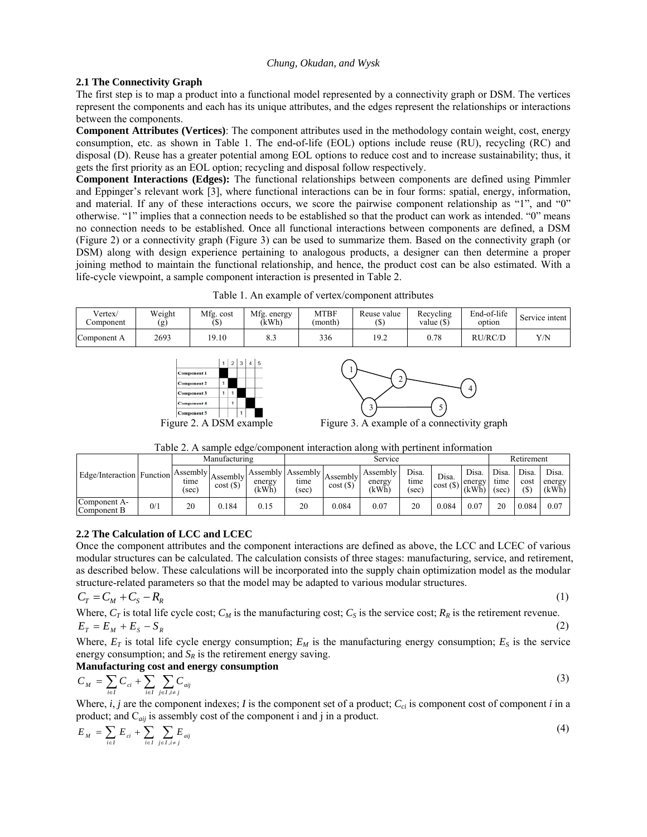# **2.1 The Connectivity Graph**

The first step is to map a product into a functional model represented by a connectivity graph or DSM. The vertices represent the components and each has its unique attributes, and the edges represent the relationships or interactions between the components.

**Component Attributes (Vertices)**: The component attributes used in the methodology contain weight, cost, energy consumption, etc. as shown in Table 1. The end-of-life (EOL) options include reuse (RU), recycling (RC) and disposal (D). Reuse has a greater potential among EOL options to reduce cost and to increase sustainability; thus, it gets the first priority as an EOL option; recycling and disposal follow respectively.

**Component Interactions (Edges):** The functional relationships between components are defined using Pimmler and Eppinger's relevant work [3], where functional interactions can be in four forms: spatial, energy, information, and material. If any of these interactions occurs, we score the pairwise component relationship as "1", and "0" otherwise. "1" implies that a connection needs to be established so that the product can work as intended. "0" means no connection needs to be established. Once all functional interactions between components are defined, a DSM (Figure 2) or a connectivity graph (Figure 3) can be used to summarize them. Based on the connectivity graph (or DSM) along with design experience pertaining to analogous products, a designer can then determine a proper joining method to maintain the functional relationship, and hence, the product cost can be also estimated. With a life-cycle viewpoint, a sample component interaction is presented in Table 2.

Table 1. An example of vertex/component attributes

| Vertex/<br>∠omponent | Weight<br>(g) | Mfg. cost<br>ιψ | Mfg.<br>energy.<br>(kWh) | <b>MTBF</b><br>(month) | Reuse value<br>٠ψ. | Recycling<br>value $(S)$ | End-of-life<br>option | Service intent |
|----------------------|---------------|-----------------|--------------------------|------------------------|--------------------|--------------------------|-----------------------|----------------|
| Component A          | 2693          | 19.10           | د.ه                      | 336                    | 19.2               | 0.78                     | RU/RC/D               | Y/N            |





Table 2. A sample edge/component interaction along with pertinent information

|                                               |     | Manufacturing |                    | Service         |                                    |                     |                            |                        |                  | Retirement               |                        |                         |                          |
|-----------------------------------------------|-----|---------------|--------------------|-----------------|------------------------------------|---------------------|----------------------------|------------------------|------------------|--------------------------|------------------------|-------------------------|--------------------------|
| Edge/Interaction Function Assembly $\Delta$ . |     | tıme<br>(sec) | Assembly<br>cost() | energy<br>(kWh) | Assembly Assembly<br>tıme<br>(sec) | Assembly<br>cost(S) | Assembly<br>energy<br>(kWh | Disa.<br>tıme<br>(sec) | Disa.<br>cost(S) | Disa.<br>energy<br>(kWh) | Disa.<br>time<br>(sec) | Disa.<br>cost<br>$(\$)$ | Disa.<br>energy<br>(kWh) |
| $\sim$<br>Component A-<br>Component B         | 0/1 | 20            | 0.184              | 0.15            | 20                                 | 0.084               | 0.07                       | 20                     | 0.084            | 0.07                     | 20                     | 0.084                   | 0.07                     |

# **2.2 The Calculation of LCC and LCEC**

Once the component attributes and the component interactions are defined as above, the LCC and LCEC of various modular structures can be calculated. The calculation consists of three stages: manufacturing, service, and retirement, as described below. These calculations will be incorporated into the supply chain optimization model as the modular structure-related parameters so that the model may be adapted to various modular structures.

$$
C_T = C_M + C_S - R_R \tag{1}
$$

Where,  $C_T$  is total life cycle cost;  $C_M$  is the manufacturing cost;  $C_S$  is the service cost;  $R_R$  is the retirement revenue.  $E_T = E_M + E_S - S_R$  (2)

Where,  $E_T$  is total life cycle energy consumption;  $E_M$  is the manufacturing energy consumption;  $E_S$  is the service energy consumption; and  $S_R$  is the retirement energy saving.

# **Manufacturing cost and energy consumption**

$$
C_M = \sum_{i \in I} C_{ci} + \sum_{i \in I} \sum_{j \in J, i \neq j} C_{aij}
$$
 (3)

Where,  $i, j$  are the component indexes; *I* is the component set of a product;  $C_{ci}$  is component cost of component *i* in a product; and C*aij* is assembly cost of the component i and j in a product.

$$
E_M = \sum_{i \in I} E_{ci} + \sum_{i \in I} \sum_{j \in I, i \neq j} E_{aij}
$$
 (4)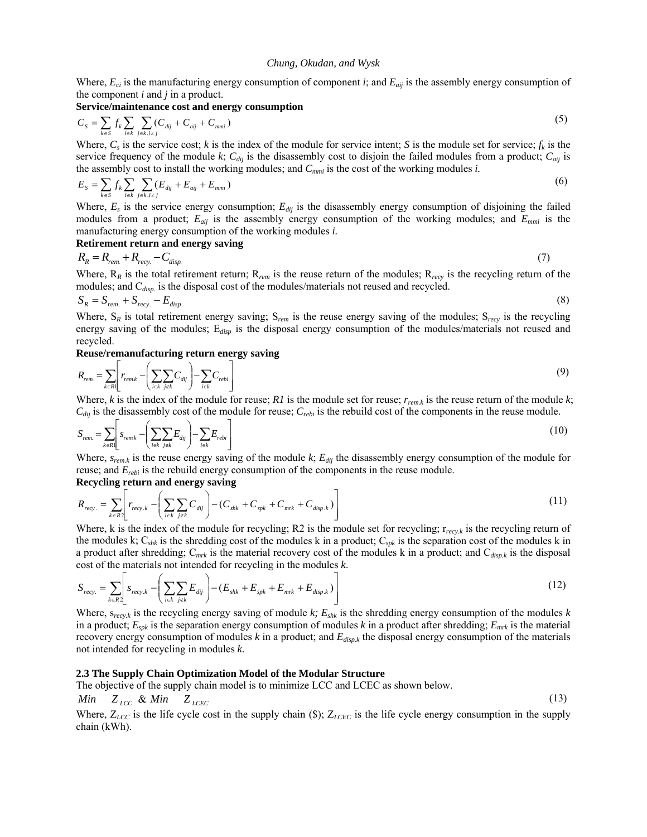Where, *Eci* is the manufacturing energy consumption of component *i*; and *Eaij* is the assembly energy consumption of the component *i* and *j* in a product.

**Service/maintenance cost and energy consumption** 

$$
C_{S} = \sum_{k \in S} f_{k} \sum_{i \in k} \sum_{j \in k, i \neq j} (C_{dij} + C_{aij} + C_{mmi})
$$
\n(5)

Where,  $C_s$  is the service cost; *k* is the index of the module for service intent; *S* is the module set for service;  $f_k$  is the service frequency of the module  $k$ ;  $C_{dij}$  is the disassembly cost to disjoin the failed modules from a product;  $C_{dij}$  is the assembly cost to install the working modules; and *Cmmi* is the cost of the working modules *i.* 

$$
E_{S} = \sum_{k \in S} f_{k} \sum_{i \in k} \sum_{j \in k, i \neq j} (E_{dij} + E_{aij} + E_{mmi})
$$
(6)

Where,  $E_s$  is the service energy consumption;  $E_{dij}$  is the disassembly energy consumption of disjoining the failed modules from a product; *Eaij* is the assembly energy consumption of the working modules; and *Emmi* is the manufacturing energy consumption of the working modules *i.*

**Retirement return and energy saving** 

$$
R_R = R_{rem} + R_{recy} - C_{disp.} \tag{7}
$$

Where,  $R_R$  is the total retirement return;  $R_{rem}$  is the reuse return of the modules;  $R_{rev}$  is the recycling return of the modules; and C<sub>disp</sub> is the disposal cost of the modules/materials not reused and recycled.

$$
S_R = S_{rem.} + S_{recy.} - E_{disp.} \tag{8}
$$

Where,  $S_R$  is total retirement energy saving;  $S_{rem}$  is the reuse energy saving of the modules;  $S_{rev}$  is the recycling energy saving of the modules; E*disp* is the disposal energy consumption of the modules/materials not reused and recycled.

#### **Reuse/remanufacturing return energy saving**

$$
R_{rem.} = \sum_{k \in R} \left[ r_{rem. k} - \left( \sum_{i \in k} \sum_{j \notin k} C_{dij} \right) - \sum_{i \in k} C_{rebi} \right] \tag{9}
$$

Where,  $k$  is the index of the module for reuse;  $RI$  is the module set for reuse;  $r_{rem,k}$  is the reuse return of the module  $k$ ; *Cdij* is the disassembly cost of the module for reuse; *Crebi* is the rebuild cost of the components in the reuse module.

$$
S_{rem} = \sum_{k \in R} \left[ s_{remk} - \left( \sum_{i \in k} \sum_{j \notin k} E_{dij} \right) - \sum_{i \in k} E_{rebi} \right]
$$
(10)

Where, *srem.k* is the reuse energy saving of the module *k*; *Edij* the disassembly energy consumption of the module for reuse; and *Erebi* is the rebuild energy consumption of the components in the reuse module.

# **Recycling return and energy saving**

$$
R_{rev.} = \sum_{k \in R2} \left[ r_{rev,k} - \left( \sum_{i \in k} \sum_{j \notin k} C_{dij} \right) - \left( C_{shk} + C_{spk} + C_{mrk} + C_{disp.k} \right) \right] \tag{11}
$$

Where, k is the index of the module for recycling; R2 is the module set for recycling;  $r_{rev,k}$  is the recycling return of the modules k; C*shk* is the shredding cost of the modules k in a product; C*spk* is the separation cost of the modules k in a product after shredding; C*mrk* is the material recovery cost of the modules k in a product; and C*disp.k* is the disposal cost of the materials not intended for recycling in the modules *k*.

$$
S_{recy.} = \sum_{k \in R} \left[ s_{recy.k} - \left( \sum_{i \in k} \sum_{j \notin k} E_{dij} \right) - (E_{shk} + E_{spk} + E_{mrk} + E_{disp.k}) \right] \tag{12}
$$

Where, s*recy.k* is the recycling energy saving of module *k; Eshk* is the shredding energy consumption of the modules *k* in a product;  $E_{spk}$  is the separation energy consumption of modules k in a product after shredding;  $E_{mrk}$  is the material recovery energy consumption of modules  $k$  in a product; and  $E_{disp,k}$  the disposal energy consumption of the materials not intended for recycling in modules *k.* 

#### **2.3 The Supply Chain Optimization Model of the Modular Structure**

The objective of the supply chain model is to minimize LCC and LCEC as shown below.

$$
Min \t Z_{LCC} \& Min \t Z_{LCEC} \t (13)
$$

Where,  $Z_{LCC}$  is the life cycle cost in the supply chain (\$);  $Z_{LCEC}$  is the life cycle energy consumption in the supply chain (kWh).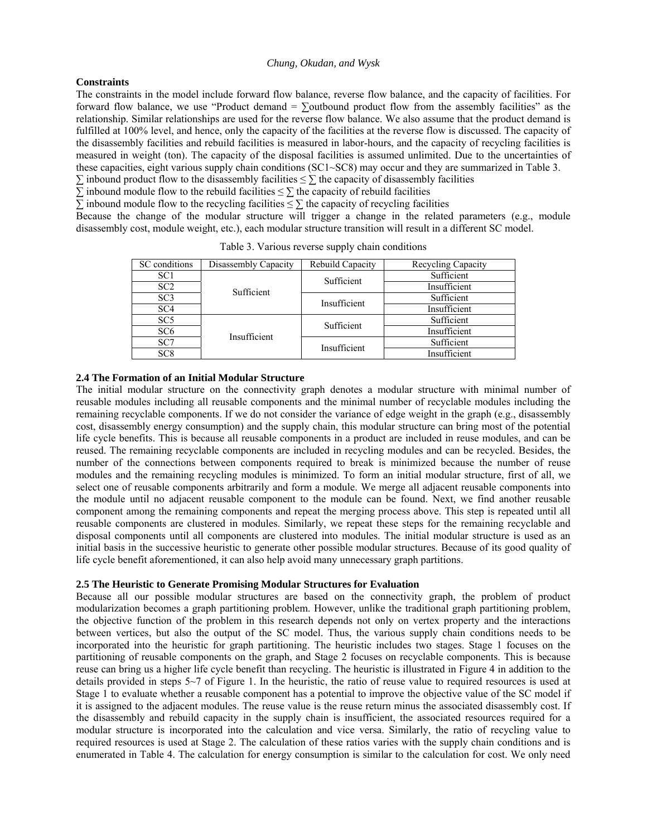# **Constraints**

The constraints in the model include forward flow balance, reverse flow balance, and the capacity of facilities. For forward flow balance, we use "Product demand =  $\Sigma$ outbound product flow from the assembly facilities" as the relationship. Similar relationships are used for the reverse flow balance. We also assume that the product demand is fulfilled at 100% level, and hence, only the capacity of the facilities at the reverse flow is discussed. The capacity of the disassembly facilities and rebuild facilities is measured in labor-hours, and the capacity of recycling facilities is measured in weight (ton). The capacity of the disposal facilities is assumed unlimited. Due to the uncertainties of these capacities, eight various supply chain conditions (SC1~SC8) may occur and they are summarized in Table 3.

 $\Sigma$  inbound product flow to the disassembly facilities  $\leq \Sigma$  the capacity of disassembly facilities

 $\overline{\Sigma}$  inbound module flow to the rebuild facilities  $\leq \Sigma$  the capacity of rebuild facilities

 $\Sigma$  inbound module flow to the recycling facilities  $\leq \Sigma$  the capacity of recycling facilities

Because the change of the modular structure will trigger a change in the related parameters (e.g., module disassembly cost, module weight, etc.), each modular structure transition will result in a different SC model.

| SC conditions   | Disassembly Capacity | Rebuild Capacity | Recycling Capacity |  |  |
|-----------------|----------------------|------------------|--------------------|--|--|
| SC <sub>1</sub> |                      | Sufficient       | Sufficient         |  |  |
| SC <sub>2</sub> | Sufficient           |                  | Insufficient       |  |  |
| SC <sub>3</sub> |                      | Insufficient     | Sufficient         |  |  |
| SC <sub>4</sub> |                      |                  | Insufficient       |  |  |
| SC <sub>5</sub> |                      | Sufficient       | Sufficient         |  |  |
| SC <sub>6</sub> | Insufficient         |                  | Insufficient       |  |  |
| SC7             |                      | Insufficient     | Sufficient         |  |  |
| SC <sub>8</sub> |                      |                  | Insufficient       |  |  |

Table 3. Various reverse supply chain conditions

### **2.4 The Formation of an Initial Modular Structure**

The initial modular structure on the connectivity graph denotes a modular structure with minimal number of reusable modules including all reusable components and the minimal number of recyclable modules including the remaining recyclable components. If we do not consider the variance of edge weight in the graph (e.g., disassembly cost, disassembly energy consumption) and the supply chain, this modular structure can bring most of the potential life cycle benefits. This is because all reusable components in a product are included in reuse modules, and can be reused. The remaining recyclable components are included in recycling modules and can be recycled. Besides, the number of the connections between components required to break is minimized because the number of reuse modules and the remaining recycling modules is minimized. To form an initial modular structure, first of all, we select one of reusable components arbitrarily and form a module. We merge all adjacent reusable components into the module until no adjacent reusable component to the module can be found. Next, we find another reusable component among the remaining components and repeat the merging process above. This step is repeated until all reusable components are clustered in modules. Similarly, we repeat these steps for the remaining recyclable and disposal components until all components are clustered into modules. The initial modular structure is used as an initial basis in the successive heuristic to generate other possible modular structures. Because of its good quality of life cycle benefit aforementioned, it can also help avoid many unnecessary graph partitions.

#### **2.5 The Heuristic to Generate Promising Modular Structures for Evaluation**

Because all our possible modular structures are based on the connectivity graph, the problem of product modularization becomes a graph partitioning problem. However, unlike the traditional graph partitioning problem, the objective function of the problem in this research depends not only on vertex property and the interactions between vertices, but also the output of the SC model. Thus, the various supply chain conditions needs to be incorporated into the heuristic for graph partitioning. The heuristic includes two stages. Stage 1 focuses on the partitioning of reusable components on the graph, and Stage 2 focuses on recyclable components. This is because reuse can bring us a higher life cycle benefit than recycling. The heuristic is illustrated in Figure 4 in addition to the details provided in steps 5~7 of Figure 1. In the heuristic, the ratio of reuse value to required resources is used at Stage 1 to evaluate whether a reusable component has a potential to improve the objective value of the SC model if it is assigned to the adjacent modules. The reuse value is the reuse return minus the associated disassembly cost. If the disassembly and rebuild capacity in the supply chain is insufficient, the associated resources required for a modular structure is incorporated into the calculation and vice versa. Similarly, the ratio of recycling value to required resources is used at Stage 2. The calculation of these ratios varies with the supply chain conditions and is enumerated in Table 4. The calculation for energy consumption is similar to the calculation for cost. We only need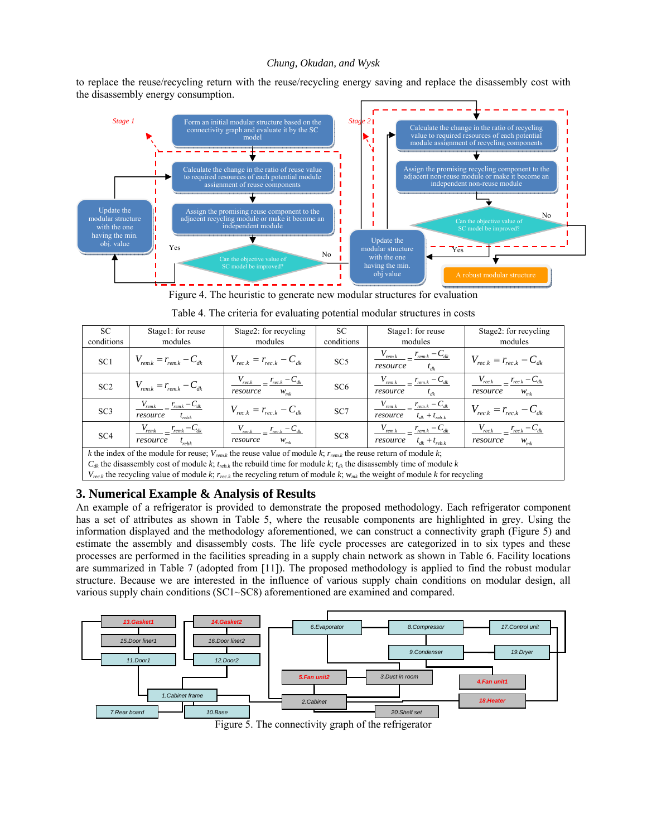to replace the reuse/recycling return with the reuse/recycling energy saving and replace the disassembly cost with the disassembly energy consumption.



Figure 4. The heuristic to generate new modular structures for evaluation

| <b>SC</b><br>conditions | Stage1: for reuse<br>modules                                                                                                                                                                                                                                                                                                                                                                                                                                                          | Stage2: for recycling<br>modules                          | SС<br>conditions | Stage1: for reuse<br>modules                                                  | Stage2: for recycling<br>modules                             |
|-------------------------|---------------------------------------------------------------------------------------------------------------------------------------------------------------------------------------------------------------------------------------------------------------------------------------------------------------------------------------------------------------------------------------------------------------------------------------------------------------------------------------|-----------------------------------------------------------|------------------|-------------------------------------------------------------------------------|--------------------------------------------------------------|
| SC <sub>1</sub>         | $V_{\text{rem }k} = r_{\text{rem }k} - C_{dk}$                                                                                                                                                                                                                                                                                                                                                                                                                                        | $V_{rec\ k} = r_{rec\ k} - C_{dk}$                        | SC <sub>5</sub>  | $\frac{V_{rem.k}}{V_{rem.k} - C_{dk}}$<br>resource<br>$t_{dk}$                | $V_{rec\ k} = r_{rec\ k} - C_{dk}$                           |
| SC2                     | $V_{\text{rem }k} = r_{\text{rem }k} - C_{dk}$                                                                                                                                                                                                                                                                                                                                                                                                                                        | $V_{rec.k}$ $r_{rec.k}$ $-C_{dk}$<br>resource<br>$W_{mk}$ | SC <sub>6</sub>  | $\frac{V_{rem.k}}{V_{rem.k} - C_{dk}}$<br>resource<br>$t_{dk}$                | $V_{rec.k}$ $r_{rec.k}$ $-c_{dk}$<br>resource<br>$W_{mk}$    |
| SC <sub>3</sub>         | $V_{\text{rem.}k}$ $r_{\text{rem.}k}$ $-C_{\text{dk}}$<br>resource<br>$t_{rehk}$                                                                                                                                                                                                                                                                                                                                                                                                      | $V_{rec\ k} = r_{rec\ k} - C_{dk}$                        | SC7              | $\frac{V_{rem.k}}{V_{rem.k} - C_{dk}}$<br>$t_{dk}$ + $t_{reh\;k}$<br>resource | $V_{rec,k} = r_{rec,k} - C_{dk}$                             |
| SC <sub>4</sub>         | $\frac{V_{\text{remk}}}{V_{\text{remk}}} = \frac{r_{\text{remk}} - C_{dk}}{r_{\text{remk}}}$<br>$t_{rebk}$<br>resource                                                                                                                                                                                                                                                                                                                                                                | $V_{rec.k}$ $r_{rec.k}$ $-c_{dk}$<br>resource<br>$W_{mk}$ | SC <sub>8</sub>  | $\frac{V_{rem.k}}{V_{rem.k} - C_{dk}}$<br>resource $t_{dk} + t_{rebk}$        | $\frac{V_{rec.k}}{V_{rec.k}-C_{dk}}$<br>resource<br>$W_{mk}$ |
|                         | $\mathbf{1} \cdot \mathbf{1} \cdot \mathbf{1} \cdot \mathbf{1} \cdot \mathbf{1} \cdot \mathbf{1} \cdot \mathbf{1} \cdot \mathbf{1} \cdot \mathbf{1} \cdot \mathbf{1} \cdot \mathbf{1} \cdot \mathbf{1} \cdot \mathbf{1} \cdot \mathbf{1} \cdot \mathbf{1} \cdot \mathbf{1} \cdot \mathbf{1} \cdot \mathbf{1} \cdot \mathbf{1} \cdot \mathbf{1} \cdot \mathbf{1} \cdot \mathbf{1} \cdot \mathbf{1} \cdot \mathbf{1} \cdot \mathbf{1} \cdot \mathbf{1} \cdot \mathbf{1} \cdot \mathbf{$ |                                                           |                  |                                                                               |                                                              |

|  |  | Table 4. The criteria for evaluating potential modular structures in costs |  |  |  |
|--|--|----------------------------------------------------------------------------|--|--|--|
|  |  |                                                                            |  |  |  |
|  |  |                                                                            |  |  |  |
|  |  |                                                                            |  |  |  |

*k* the index of the module for reuse; *Vrem.k* the reuse value of module *k*; *rrem.k* the reuse return of module *k*;

 $C_{dk}$  the disassembly cost of module *k*;  $t_{rebk}$  the rebuild time for module *k*;  $t_{dk}$  the disassembly time of module *k* 

 $V_{rec,k}$  the recycling value of module *k*;  $r_{rec,k}$  the recycling return of module *k*;  $w_{mk}$  the weight of module *k* for recycling

# **3. Numerical Example & Analysis of Results**

An example of a refrigerator is provided to demonstrate the proposed methodology. Each refrigerator component has a set of attributes as shown in Table 5, where the reusable components are highlighted in grey. Using the information displayed and the methodology aforementioned, we can construct a connectivity graph (Figure 5) and estimate the assembly and disassembly costs. The life cycle processes are categorized in to six types and these processes are performed in the facilities spreading in a supply chain network as shown in Table 6. Facility locations are summarized in Table 7 (adopted from [11]). The proposed methodology is applied to find the robust modular structure. Because we are interested in the influence of various supply chain conditions on modular design, all various supply chain conditions (SC1~SC8) aforementioned are examined and compared.



Figure 5. The connectivity graph of the refrigerator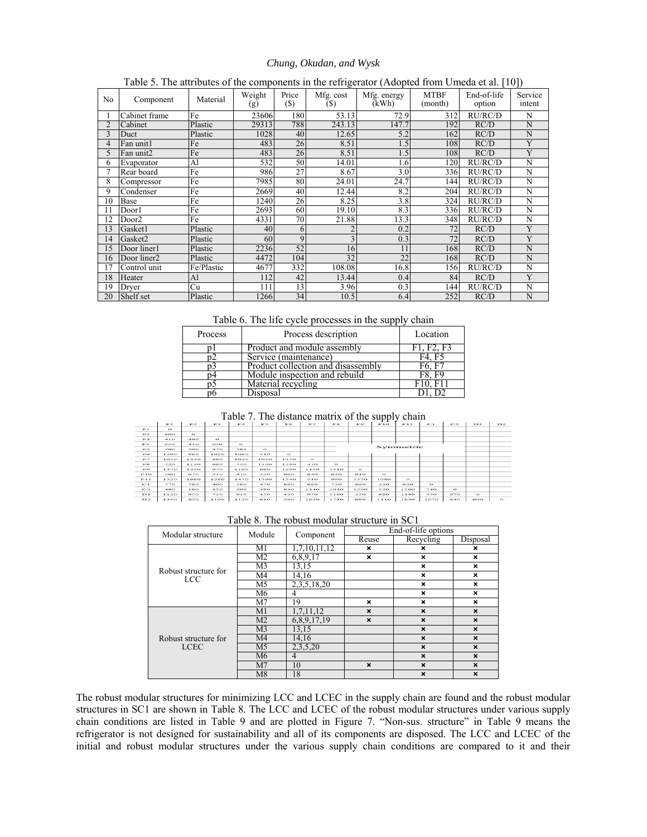|                | --0<br>- (----r-<br>- 17 |            |               |                 |                   |                      |                        |                       |                   |  |  |  |  |
|----------------|--------------------------|------------|---------------|-----------------|-------------------|----------------------|------------------------|-----------------------|-------------------|--|--|--|--|
| N <sub>0</sub> | Component                | Material   | Weight<br>(g) | Price<br>$(\$)$ | Mfg. cost<br>(\$) | Mfg. energy<br>(kWh) | <b>MTBF</b><br>(month) | End-of-life<br>option | Service<br>intent |  |  |  |  |
|                | Cabinet frame            | Fe         | 23606         | 180             | 53.13             | 72.9                 | 312                    | RU/RC/D               | N                 |  |  |  |  |
|                | Cabinet                  | Plastic    | 29313         | 788             | 243.13            | 147.7                | 192                    | RC/D                  | N                 |  |  |  |  |
|                | Duct                     | Plastic    | 1028          | 40              | 12.65             | 5.2                  | 162                    | RC/D                  | N                 |  |  |  |  |
| 4              | Fan unit1                | Fe         | 483           | 26              | 8.51              | 1.5                  | 108                    | RC/D                  | Y                 |  |  |  |  |
| 5              | Fan unit2                | Fe         | 483           | 26              | 8.51              | $\overline{1.5}$     | 108                    | RC/D                  | Ÿ                 |  |  |  |  |
| 6              | Evaporator               | Al         | 532           | 50              | 14.01             | 1.6                  | 120                    | RU/RC/D               | N                 |  |  |  |  |
|                | Rear board               | Fe         | 986           | 27              | 8.67              | 3.0                  | 336                    | RU/RC/D               | N                 |  |  |  |  |
| 8              | Compressor               | Fe         | 7985          | 80              | 24.01             | 24.7                 | 144                    | RU/RC/D               | N                 |  |  |  |  |
| 9              | Condenser                | Fe         | 2669          | 40              | 12.44             | 8.2                  | 204                    | RU/RC/D               | N                 |  |  |  |  |
| 10             | Base                     | Fe         | 1240          | 26              | 8.25              | 3.8                  | 324                    | RU/RC/D               | Ñ                 |  |  |  |  |
|                | Door1                    | Fe         | 2693          | 60              | 19.10             | 8.3                  | 336                    | RU/RC/D               | Ñ                 |  |  |  |  |
| 12             | Door2                    | Fe         | 4331          | 70              | 21.88             | 13.3                 | 348                    | RU/RC/D               | N                 |  |  |  |  |
| 13             | Gasket1                  | Plastic    | 40            | 6               |                   | 0.2                  | 72                     | RC/D                  | Y                 |  |  |  |  |
| 14             | Gasket2                  | Plastic    | 60            | 9               | 3                 | 0.3                  | 72                     | RC/D                  | Y                 |  |  |  |  |
| 15             | Door liner1              | Plastic    | 2236          | 52              | 16                | 11                   | 168                    | RC/D                  | N                 |  |  |  |  |
| 16             | Door liner2              | Plastic    | 4472          | 104             | 32                | 22                   | 168                    | RC/D                  | N                 |  |  |  |  |
| 17             | Control unit             | Fe/Plastic | 4677          | 332             | 108.08            | 16.8                 | 156                    | RU/RC/D               | N                 |  |  |  |  |
| 18             | Heater                   | Al         | 112           | 42              | 13.44             | 0.4                  | 84                     | RC/D                  | Y                 |  |  |  |  |
| 19             | Dryer                    | Cu         | 111           | 13              | 3.96              | 0.3                  | 144                    | RU/RC/D               | N                 |  |  |  |  |
| 20             | Shelf set                | Plastic    | 1266          | 34              | 10.5              | 6.4                  | 252                    | RC/D                  | N                 |  |  |  |  |

#### Table 5. The attributes of the components in the refrigerator (Adopted from Umeda et al. [10])

Table 6. The life cycle processes in the supply chain

| Process | Process description                | Location |
|---------|------------------------------------|----------|
|         | Product and module assembly        |          |
|         | Service (maintenance)              |          |
|         | Product collection and disassembly |          |
|         | Module inspection and rebuild      |          |
|         | Material recycling                 |          |
|         | Disposal                           |          |

Table 7. The distance matrix of the supply chain

|                |                |         |        |          |         |                |         |             |                | . .     |          |          |        |          |         |
|----------------|----------------|---------|--------|----------|---------|----------------|---------|-------------|----------------|---------|----------|----------|--------|----------|---------|
|                | T <sub>1</sub> | FZ      | F3     | $F-4$    | $rr =$  | F <sub>6</sub> | FZ      | <b>DOM:</b> | F <sub>2</sub> | T1O     | F11      | $-1$     | C2     | $E_{1}$  | D2      |
| F1             | $\Omega$       |         |        |          |         |                |         |             |                |         |          |          |        |          |         |
| F <sub>2</sub> | 600            | $\circ$ |        |          |         |                |         |             |                |         |          |          |        |          |         |
| $F \supseteq$  | $-110$         | 490     | $\sim$ |          |         |                |         |             |                |         |          |          |        |          |         |
| F4             | 220            | 430     | 200    | $\Omega$ |         |                |         |             |                |         |          |          |        |          |         |
| F5             | 790            | 500     | 470    | 5BO      | $\circ$ |                |         |             | Symmetric      |         |          |          |        |          |         |
| FS             | 1290           | 880     | 1020   | 1080     | 510     | $\Omega$       |         |             |                |         |          |          |        |          |         |
| ドフ             | 1070           | 1340    | 860    | 1020     | 1050    | 1470           | $\circ$ |             |                |         |          |          |        |          |         |
| <b>IF BE</b>   | 720            | 1130    | 690    | 720      | 1100    | 1590           | 470     | $\sim$      |                |         |          |          |        |          |         |
| F9             | 1370           | 1200    | 970    | 1160     | 680     | 1290           | 1150    | 1410        | $\circ$        |         |          |          |        |          |         |
| F1O            | 560            | 670     | 210    | 370      | 520     | $^{000}$       | 640     | 630         | 910            | $\circ$ |          |          |        |          |         |
| T <sub>1</sub> | 1520           | 1680    | 1280   | 1470     | 1390    | 1540           | 510     | 990         | 1250           | 1080    | $\Omega$ |          |        |          |         |
| C1             | 770            | 780     | 400    | 580      | 470     | 860            | 680     | 730         | 690            | 220     | 920      | $\Omega$ |        |          |         |
| C2             | 480            | 160     | 350    | 290      | 380     | $8-40$         | 1140    | 1030        | 1200           | 520     | 1560     | 740      | $\sim$ |          |         |
| D1             | 1120           | 950     | 720    | 910      | 450     | 430            | 970     | 1160        | 250            | 680     | 1140     | 450      | 970    | $\Omega$ |         |
| D2             | 1340           | 850     | 1100   | 1130     | 610     | 290            | 1650    | 1710        | 680            | 1110    | 1830     | 1070     | 840    | 690      | $\circ$ |

|     |        | Table 8. The robust modular structure in SC1 |                |  |
|-----|--------|----------------------------------------------|----------------|--|
|     | Module | Component                                    | End-of-life op |  |
| ure |        |                                              |                |  |

| Modular structure                  | Module         |                 |                           | End-of-life options       |                           |
|------------------------------------|----------------|-----------------|---------------------------|---------------------------|---------------------------|
|                                    |                | Component       | Reuse                     | Recycling                 | Disposal                  |
|                                    | M1             | 1,7,10,11,12    | ×                         | ×                         | ×                         |
|                                    | M <sub>2</sub> | 6,8,9,17        | ×                         | ×                         | ×                         |
|                                    | M <sub>3</sub> | 13,15           |                           | ×                         | ×                         |
| Robust structure for<br><b>LCC</b> | M4             | 14,16           |                           | $\boldsymbol{\mathsf{x}}$ | $\mathbf{x}$              |
|                                    | M <sub>5</sub> | 2, 3, 5, 18, 20 |                           | $\boldsymbol{\mathsf{x}}$ | ×                         |
|                                    | M6             | 4               |                           | $\boldsymbol{\mathsf{x}}$ | ×                         |
|                                    | M <sub>7</sub> | 19              | $\boldsymbol{\mathsf{x}}$ | $\boldsymbol{\mathsf{x}}$ | $\boldsymbol{\mathsf{x}}$ |
|                                    | M1             | 1,7,11,12       | $\mathbf x$               | $\mathbf x$               | $\boldsymbol{\mathsf{x}}$ |
|                                    | M <sub>2</sub> | 6,8,9,17,19     | $\boldsymbol{\mathsf{x}}$ | $\boldsymbol{\mathsf{x}}$ | $\boldsymbol{\mathsf{x}}$ |
|                                    | M <sub>3</sub> | 13,15           |                           | $\boldsymbol{\mathsf{x}}$ | $\boldsymbol{\mathsf{x}}$ |
| Robust structure for               | M <sub>4</sub> | 14,16           |                           | $\boldsymbol{\mathsf{x}}$ | $\boldsymbol{\mathsf{x}}$ |
| <b>LCEC</b>                        | M <sub>5</sub> | 2,3,5,20        |                           | $\boldsymbol{\mathsf{x}}$ | $\boldsymbol{\mathsf{x}}$ |
|                                    | M6             | 4               |                           | $\boldsymbol{\mathsf{x}}$ | $\boldsymbol{\mathsf{x}}$ |
|                                    | M <sub>7</sub> | 10              | $\boldsymbol{\mathsf{x}}$ | $\boldsymbol{\mathsf{x}}$ | $\boldsymbol{\mathsf{x}}$ |
|                                    | M8             | 18              |                           | $\boldsymbol{\mathsf{x}}$ | $\boldsymbol{\mathsf{x}}$ |

The robust modular structures for minimizing LCC and LCEC in the supply chain are found and the robust modular structures in SC1 are shown in Table 8. The LCC and LCEC of the robust modular structures under various supply chain conditions are listed in Table 9 and are plotted in Figure 7. "Non-sus. structure" in Table 9 means the refrigerator is not designed for sustainability and all of its components are disposed. The LCC and LCEC of the initial and robust modular structures under the various supply chain conditions are compared to it and their